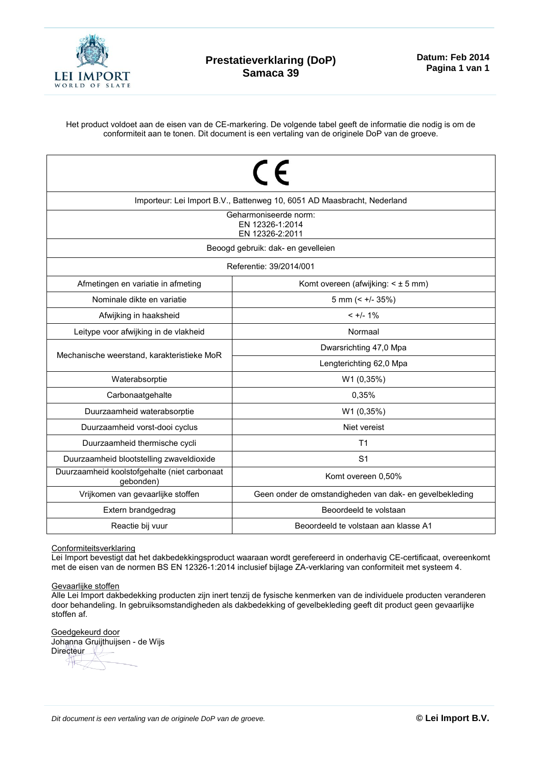

Het product voldoet aan de eisen van de CE-markering. De volgende tabel geeft de informatie die nodig is om de conformiteit aan te tonen. Dit document is een vertaling van de originele DoP van de groeve.

| $\epsilon$<br>Importeur: Lei Import B.V., Battenweg 10, 6051 AD Maasbracht, Nederland |                                                         |  |  |  |  |  |  |
|---------------------------------------------------------------------------------------|---------------------------------------------------------|--|--|--|--|--|--|
| Geharmoniseerde norm:<br>EN 12326-1:2014<br>EN 12326-2:2011                           |                                                         |  |  |  |  |  |  |
| Beoogd gebruik: dak- en gevelleien                                                    |                                                         |  |  |  |  |  |  |
| Referentie: 39/2014/001                                                               |                                                         |  |  |  |  |  |  |
| Afmetingen en variatie in afmeting                                                    | Komt overeen (afwijking: $\leq \pm 5$ mm)               |  |  |  |  |  |  |
| Nominale dikte en variatie                                                            | 5 mm (< $+/- 35\%)$                                     |  |  |  |  |  |  |
| Afwijking in haaksheid                                                                | $< +/- 1\%$                                             |  |  |  |  |  |  |
| Leitype voor afwijking in de vlakheid                                                 | Normaal                                                 |  |  |  |  |  |  |
|                                                                                       | Dwarsrichting 47,0 Mpa                                  |  |  |  |  |  |  |
| Mechanische weerstand, karakteristieke MoR                                            | Lengterichting 62,0 Mpa                                 |  |  |  |  |  |  |
| Waterabsorptie                                                                        | W1 (0,35%)                                              |  |  |  |  |  |  |
| Carbonaatgehalte                                                                      | 0,35%                                                   |  |  |  |  |  |  |
| Duurzaamheid waterabsorptie                                                           | W1 (0,35%)                                              |  |  |  |  |  |  |
| Duurzaamheid vorst-dooi cyclus                                                        | Niet vereist                                            |  |  |  |  |  |  |
| Duurzaamheid thermische cycli                                                         | T <sub>1</sub>                                          |  |  |  |  |  |  |
| Duurzaamheid blootstelling zwaveldioxide                                              | S <sub>1</sub>                                          |  |  |  |  |  |  |
| Duurzaamheid koolstofgehalte (niet carbonaat<br>gebonden)                             | Komt overeen 0,50%                                      |  |  |  |  |  |  |
| Vrijkomen van gevaarlijke stoffen                                                     | Geen onder de omstandigheden van dak- en gevelbekleding |  |  |  |  |  |  |
| Extern brandgedrag                                                                    | Beoordeeld te volstaan                                  |  |  |  |  |  |  |
| Reactie bij vuur                                                                      | Beoordeeld te volstaan aan klasse A1                    |  |  |  |  |  |  |

## Conformiteitsverklaring

Lei Import bevestigt dat het dakbedekkingsproduct waaraan wordt gerefereerd in onderhavig CE-certificaat, overeenkomt met de eisen van de normen BS EN 12326-1:2014 inclusief bijlage ZA-verklaring van conformiteit met systeem 4.

## Gevaarlijke stoffen

Alle Lei Import dakbedekking producten zijn inert tenzij de fysische kenmerken van de individuele producten veranderen door behandeling. In gebruiksomstandigheden als dakbedekking of gevelbekleding geeft dit product geen gevaarlijke stoffen af.

Goedgekeurd door Johanna Gruijthuijsen - de Wijs Directeur 升